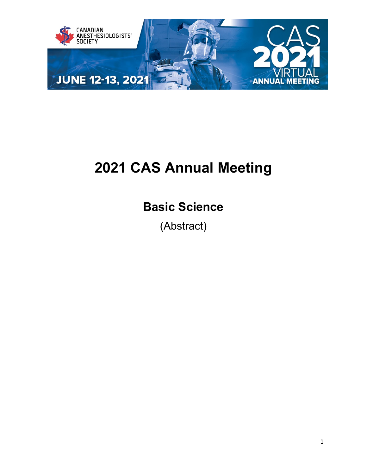

# **2021 CAS Annual Meeting**

## **Basic Science**

(Abstract)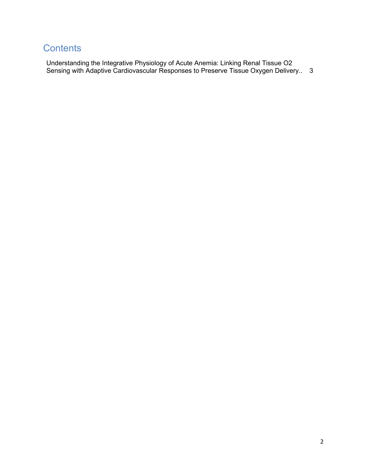### **Contents**

Understanding the Integrative Physiology of Acute Anemia: Linking Renal Tissue O2 Sensing with Adaptive Cardiovascular Responses to Preserve Tissue Oxygen Delivery.. 3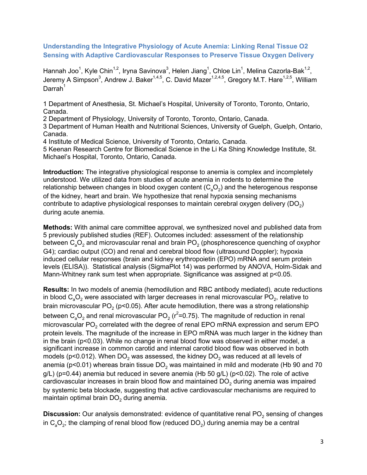#### **Understanding the Integrative Physiology of Acute Anemia: Linking Renal Tissue O2 Sensing with Adaptive Cardiovascular Responses to Preserve Tissue Oxygen Delivery**

Hannah Joo $^1$ , Kyle Chin $^{1,2}$ , Iryna Savinova $^3$ , Helen Jiang $^1$ , Chloe Lin $^1$ , Melina Cazorla-Bak $^{1,2},\,$ Jeremy A Simpson $^3$ , Andrew J. Baker $^{1,4,5}$ , C. David Mazer $^{1,2,4,5}$ , Gregory M.T. Hare $^{1,2,5}$ , William Darrah $1$ 

1 Department of Anesthesia, St. Michael's Hospital, University of Toronto, Toronto, Ontario, Canada.

2 Department of Physiology, University of Toronto, Toronto, Ontario, Canada.

3 Department of Human Health and Nutritional Sciences, University of Guelph, Guelph, Ontario, Canada.

4 Institute of Medical Science, University of Toronto, Ontario, Canada.

5 Keenan Research Centre for Biomedical Science in the Li Ka Shing Knowledge Institute, St. Michael's Hospital, Toronto, Ontario, Canada.

**Introduction:** The integrative physiological response to anemia is complex and incompletely understood. We utilized data from studies of acute anemia in rodents to determine the relationship between changes in blood oxygen content  $(C_aO_2)$  and the heterogenous response of the kidney, heart and brain. We hypothesize that renal hypoxia sensing mechanisms contribute to adaptive physiological responses to maintain cerebral oxygen delivery  $(DO<sub>2</sub>)$ during acute anemia.

**Methods:** With animal care committee approval, we synthesized novel and published data from 5 previously published studies (REF). Outcomes included: assessment of the relationship between  $C_aO_2$  and microvascular renal and brain PO<sub>2</sub> (phosphorescence quenching of oxyphor G4); cardiac output (CO) and renal and cerebral blood flow (ultrasound Doppler); hypoxia induced cellular responses (brain and kidney erythropoietin (EPO) mRNA and serum protein levels (ELISA)). Statistical analysis (SigmaPlot 14) was performed by ANOVA, Holm-Sidak and Mann-Whitney rank sum test when appropriate. Significance was assigned at p<0.05.

**Results:** In two models of anemia (hemodilution and RBC antibody mediated), acute reductions in blood  $C_2O_2$  were associated with larger decreases in renal microvascular PO<sub>2</sub>, relative to brain microvascular PO<sub>2</sub> (p<0.05). After acute hemodilution, there was a strong relationship between  $\textsf{C}_{_{\textsf{a}}} \textsf{O}_{_{\textsf{2}}}$  and renal microvascular PO $_{\textsf{2}}$  (r $^{\textsf{2}}$ =0.75). The magnitude of reduction in renal microvascular  $PO<sub>2</sub>$  correlated with the degree of renal EPO mRNA expression and serum EPO protein levels. The magnitude of the increase in EPO mRNA was much larger in the kidney than in the brain (p<0.03). While no change in renal blood flow was observed in either model, a significant increase in common carotid and internal carotid blood flow was observed in both models (p<0.012). When  $DO<sub>2</sub>$  was assessed, the kidney  $DO<sub>2</sub>$  was reduced at all levels of anemia ( $p$ <0.01) whereas brain tissue DO<sub>2</sub> was maintained in mild and moderate (Hb 90 and 70 g/L) (p=0.44) anemia but reduced in severe anemia (Hb 50 g/L) (p<0.02). The role of active cardiovascular increases in brain blood flow and maintained  $DO<sub>2</sub>$  during anemia was impaired by systemic beta blockade, suggesting that active cardiovascular mechanisms are required to maintain optimal brain  $DO<sub>2</sub>$  during anemia.

**Discussion:** Our analysis demonstrated: evidence of quantitative renal PO<sub>2</sub> sensing of changes in  $C_aO_2$ ; the clamping of renal blood flow (reduced DO<sub>2</sub>) during anemia may be a central